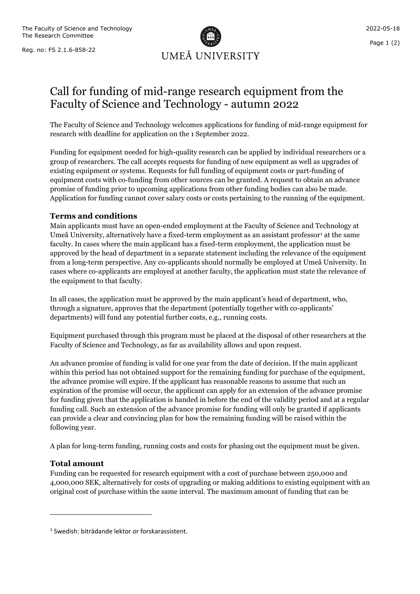Reg. no: FS 2.1.6-858-22



# Call for funding of mid-range research equipment from the Faculty of Science and Technology - autumn 2022

The Faculty of Science and Technology welcomes applications for funding of mid-range equipment for research with deadline for application on the 1 September 2022.

Funding for equipment needed for high-quality research can be applied by individual researchers or a group of researchers. The call accepts requests for funding of new equipment as well as upgrades of existing equipment or systems. Requests for full funding of equipment costs or part-funding of equipment costs with co-funding from other sources can be granted. A request to obtain an advance promise of funding prior to upcoming applications from other funding bodies can also be made. Application for funding cannot cover salary costs or costs pertaining to the running of the equipment.

#### **Terms and conditions**

Main applicants must have an open-ended employment at the Faculty of Science and Technology at Umeå University, alternatively have a fixed-term employment as an assistant professor<sup>[1](#page-0-0)</sup> at the same faculty. In cases where the main applicant has a fixed-term employment, the application must be approved by the head of department in a separate statement including the relevance of the equipment from a long-term perspective. Any co-applicants should normally be employed at Umeå University. In cases where co-applicants are employed at another faculty, the application must state the relevance of the equipment to that faculty.

In all cases, the application must be approved by the main applicant's head of department, who, through a signature, approves that the department (potentially together with co-applicants' departments) will fund any potential further costs, e.g., running costs.

Equipment purchased through this program must be placed at the disposal of other researchers at the Faculty of Science and Technology, as far as availability allows and upon request.

An advance promise of funding is valid for one year from the date of decision. If the main applicant within this period has not obtained support for the remaining funding for purchase of the equipment, the advance promise will expire. If the applicant has reasonable reasons to assume that such an expiration of the promise will occur, the applicant can apply for an extension of the advance promise for funding given that the application is handed in before the end of the validity period and at a regular funding call. Such an extension of the advance promise for funding will only be granted if applicants can provide a clear and convincing plan for how the remaining funding will be raised within the following year.

A plan for long-term funding, running costs and costs for phasing out the equipment must be given.

### **Total amount**

Funding can be requested for research equipment with a cost of purchase between 250,000 and 4,000,000 SEK, alternatively for costs of upgrading or making additions to existing equipment with an original cost of purchase within the same interval. The maximum amount of funding that can be

<span id="page-0-0"></span><sup>1</sup> Swedish: biträdande lektor or forskarassistent.